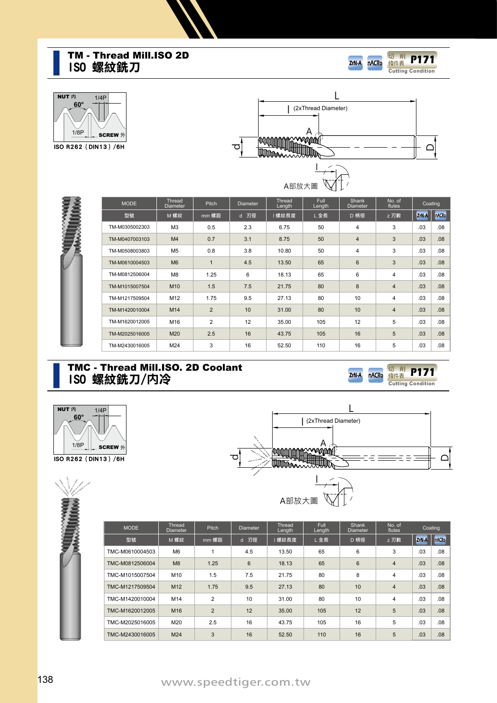#### **ISO 螺紋銑刀** TM - Thread Mill.ISO 2D



nACRo



**TEMPORAL** 



| <b>MODE</b>    | Thread<br><b>Diameter</b> | Pitch        | <b>Diameter</b> | Thread<br>Length | <b>Full</b><br>Length | <b>Shank</b><br><b>Diameter</b> | No. of<br>flutes |                  | Coating |
|----------------|---------------------------|--------------|-----------------|------------------|-----------------------|---------------------------------|------------------|------------------|---------|
| 型號             | M 螺紋                      | mm 螺距        | d 刃徑            | 螺紋長度             | L全長                   | D 柄徑                            | z 刃數             | ZrN <sub>A</sub> | nACR    |
| TM-M0305002303 | M <sub>3</sub>            | 0.5          | 2.3             | 6.75             | 50                    | $\overline{4}$                  | 3                | .03              | .08     |
| TM-M0407003103 | M <sub>4</sub>            | 0.7          | 3.1             | 8.75             | 50                    | $\overline{4}$                  | 3                | .03              | .08     |
| TM-M0508003803 | M <sub>5</sub>            | 0.8          | 3.8             | 10.80            | 50                    | $\overline{4}$                  | 3                | .03              | .08     |
| TM-M0610004503 | M <sub>6</sub>            | $\mathbf{1}$ | 4.5             | 13.50            | 65                    | $6\phantom{1}$                  | 3                | .03              | .08     |
| TM-M0812506004 | M <sub>8</sub>            | 1.25         | 6               | 18.13            | 65                    | 6                               | 4                | .03              | .08     |
| TM-M1015007504 | M <sub>10</sub>           | 1.5          | 7.5             | 21.75            | 80                    | 8                               | $\overline{4}$   | .03              | .08     |
| TM-M1217509504 | M <sub>12</sub>           | 1.75         | 9.5             | 27.13            | 80                    | 10                              | $\overline{4}$   | .03              | .08     |
| TM-M1420010004 | M14                       | 2            | 10              | 31.00            | 80                    | 10                              | $\overline{4}$   | .03              | .08     |
| TM-M1620012005 | M16                       | 2            | 12              | 35.00            | 105                   | 12                              | 5                | .03              | .08     |
| TM-M2025016005 | M20                       | 2.5          | 16              | 43.75            | 105                   | 16                              | 5                | .03              | .08     |
| TM-M2430016005 | M24                       | 3            | 16              | 52.50            | 110                   | 16                              | 5                | .03              | .08     |

#### **ISO 螺紋銑刀/**内**冷** TMC - Thread Mill.ISO. 2D Coolant











| <b>MODE</b>     | Thread<br><b>Diameter</b> | Pitch          | <b>Diameter</b> | Thread<br>Length | Full<br>Length | Shank<br><b>Diameter</b> | No. of<br>flutes | Coating |              |
|-----------------|---------------------------|----------------|-----------------|------------------|----------------|--------------------------|------------------|---------|--------------|
| 型號              | M 螺紋                      | mm 螺距          | d 刃徑            | 螺紋長度             | L全長            | D 柄徑                     | z 刃數             | ZrN-A   | <b>nACRo</b> |
| TMC-M0610004503 | M <sub>6</sub>            | 1              | 4.5             | 13.50            | 65             | 6                        | 3                | .03     | .08          |
| TMC-M0812506004 | M8                        | 1.25           | 6               | 18.13            | 65             | $6\phantom{1}$           | $\overline{4}$   | .03     | .08          |
| TMC-M1015007504 | M10                       | 1.5            | 7.5             | 21.75            | 80             | 8                        | 4                | .03     | .08          |
| TMC-M1217509504 | M <sub>12</sub>           | 1.75           | 9.5             | 27.13            | 80             | 10                       | $\overline{4}$   | .03     | .08          |
| TMC-M1420010004 | M14                       | $\overline{2}$ | 10              | 31.00            | 80             | 10                       | 4                | .03     | .08          |
| TMC-M1620012005 | M16                       | $\overline{2}$ | 12              | 35.00            | 105            | 12                       | 5                | .03     | .08          |
| TMC-M2025016005 | M20                       | 2.5            | 16              | 43.75            | 105            | 16                       | 5                | .03     | .08          |
| TMC-M2430016005 | M24                       | 3              | 16              | 52.50            | 110            | 16                       | 5                | .03     | .08          |
|                 |                           |                |                 |                  |                |                          |                  |         |              |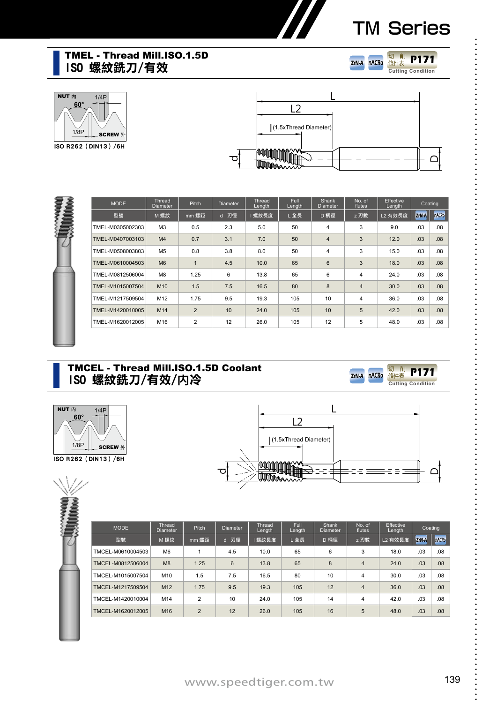#### TMEL - Thread Mill.ISO.1.5D **ISO 螺紋銑刀/有效**









| mm 螺距<br>0.5<br>0.7 | d 刃徑<br>2.3 | 螺紋長度<br>5.0 | L全長 | D 柄徑           | z 刃數           | L2 有效長度 | ZrN-A | nACR |
|---------------------|-------------|-------------|-----|----------------|----------------|---------|-------|------|
|                     |             |             |     |                |                |         |       |      |
|                     |             |             | 50  | $\overline{4}$ | 3              | 9.0     | .03   | .08  |
|                     | 3.1         | 7.0         | 50  | $\overline{4}$ | 3              | 12.0    | .03   | .08  |
| 0.8                 | 3.8         | 8.0         | 50  | $\overline{4}$ | 3              | 15.0    | .03   | .08  |
| $\mathbf{1}$        | 4.5         | 10.0        | 65  | 6              | 3              | 18.0    | .03   | .08  |
| 1.25                | 6           | 13.8        | 65  | 6              | 4              | 24.0    | .03   | .08  |
| 1.5                 | 7.5         | 16.5        | 80  | 8              | $\overline{4}$ | 30.0    | .03   | .08  |
| 1.75                | 9.5         | 19.3        | 105 | 10             | 4              | 36.0    | .03   | .08  |
| $\overline{2}$      | 10          | 24.0        | 105 | 10             | 5              | 42.0    | .03   | .08  |
| $\overline{2}$      | 12          | 26.0        | 105 | 12             | 5              | 48.0    | .03   | .08  |
|                     |             |             |     |                |                |         |       |      |

#### **ISO 螺紋銑刀/有效/**内**冷** TMCEL - Thread Mill.ISO.1.5D Coolant







**ZrN-A** 

nACRo

**Cutting Condition** 切 削 條件表 **P171**

| <b>MODE</b>       | <b>Thread</b><br>Diameter | <b>Pitch</b>   | <b>Diameter</b> | Thread<br>Length | Full<br>Length | Shank<br><b>Diameter</b> | No. of<br>flutes | Effective<br>Length | Coating          |              |
|-------------------|---------------------------|----------------|-----------------|------------------|----------------|--------------------------|------------------|---------------------|------------------|--------------|
| 型號                | M 螺紋                      | mm 螺距          | d 刃徑            | 螺紋長度             | L全長            | D 柄徑                     | z 刃數             | L2 有效長度             | ZrN <sub>A</sub> | <b>nACRo</b> |
| TMCEL-M0610004503 | M <sub>6</sub>            |                | 4.5             | 10.0             | 65             | 6                        | 3                | 18.0                | .03              | .08          |
| TMCEL-M0812506004 | M8                        | 1.25           | 6               | 13.8             | 65             | 8                        | 4                | 24.0                | .03              | .08          |
| TMCEL-M1015007504 | M <sub>10</sub>           | 1.5            | 7.5             | 16.5             | 80             | 10                       | 4                | 30.0                | .03              | .08          |
| TMCEL-M1217509504 | M <sub>12</sub>           | 1.75           | 9.5             | 19.3             | 105            | 12                       | 4                | 36.0                | .03              | .08          |
| TMCEL-M1420010004 | M14                       | $\mathfrak{p}$ | 10              | 24.0             | 105            | 14                       | 4                | 42.0                | .03              | .08          |
| TMCEL-M1620012005 | M <sub>16</sub>           | $\overline{2}$ | 12              | 26.0             | 105            | 16                       | 5                | 48.0                | .03              | .08          |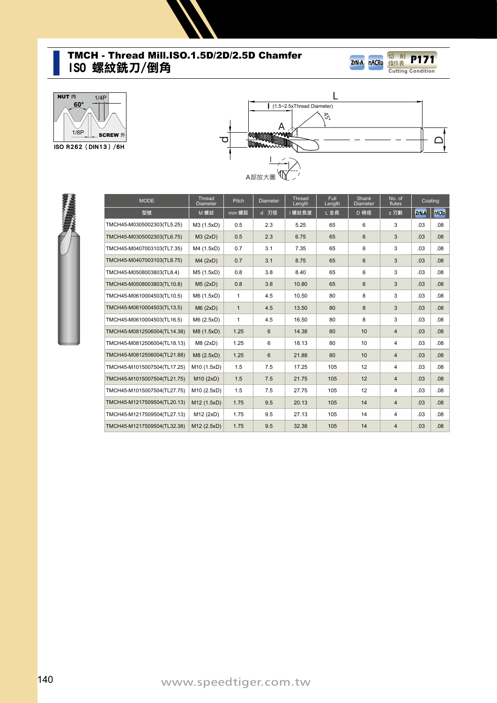#### **ISO 螺紋銑刀/倒角** TMCH - Thread Mill.ISO.1.5D/2D/2.5D Chamfer









| <b>MODE</b>                 | Thread<br><b>Diameter</b> | <b>Pitch</b> | <b>Diameter</b> | Thread<br>Length | <b>Full</b><br>Length | <b>Shank</b><br>Diameter | No. of<br>flutes | Coating |                  |
|-----------------------------|---------------------------|--------------|-----------------|------------------|-----------------------|--------------------------|------------------|---------|------------------|
| 型號                          | M 螺紋                      | mm 螺距        | d 刃徑            | 螺紋長度             | L全長                   | D 柄徑                     | z 刃數             | ZrN-A   | <b>nACRo</b>     |
| TMCH45-M0305002303(TL5.25)  | M3 (1.5xD)                | 0.5          | 2.3             | 5.25             | 65                    | 6                        | 3                | .03     | .08              |
| TMCH45-M0305002303(TL6.75)  | M3 (2xD)                  | 0.5          | 2.3             | 6.75             | 65                    | 6                        | 3                | .03     | .08              |
| TMCH45-M0407003103(TL7.35)  | M4 (1.5xD)                | 0.7          | 3.1             | 7.35             | 65                    | 6                        | 3                | .03     | .08              |
| TMCH45-M0407003103(TL8.75)  | M4 (2xD)                  | 0.7          | 3.1             | 8.75             | 65                    | 6                        | 3                | .03     | .08              |
| TMCH45-M0508003803(TL8.4)   | M5 (1.5xD)                | 0.8          | 3.8             | 8.40             | 65                    | 6                        | 3                | .03     | .08 <sub>0</sub> |
| TMCH45-M0508003803(TL10.8)  | M5(2xD)                   | 0.8          | 3.8             | 10.80            | 65                    | 6                        | 3                | .03     | .08 <sub>0</sub> |
| TMCH45-M0610004503(TL10.5)  | M6 (1.5xD)                | $\mathbf{1}$ | 4.5             | 10.50            | 80                    | 8                        | 3                | .03     | .08 <sub>0</sub> |
| TMCH45-M0610004503(TL13.5)  | M6(2xD)                   | $\mathbf{1}$ | 4.5             | 13.50            | 80                    | 8                        | 3                | .03     | .08 <sub>0</sub> |
| TMCH45-M0610004503(TL16.5)  | M6 (2.5xD)                | $\mathbf{1}$ | 4.5             | 16.50            | 80                    | 8                        | 3                | .03     | .08 <sub>0</sub> |
| TMCH45-M0812506004(TL14.38) | M8 (1.5xD)                | 1.25         | 6               | 14.38            | 80                    | 10                       | $\overline{4}$   | .03     | .08 <sub>0</sub> |
| TMCH45-M0812506004(TL18.13) | M8(2xD)                   | 1.25         | 6               | 18.13            | 80                    | 10                       | 4                | .03     | .08              |
| TMCH45-M0812506004(TL21.88) | M8 (2.5xD)                | 1.25         | 6               | 21.88            | 80                    | 10                       | $\overline{4}$   | .03     | .08 <sub>0</sub> |
| TMCH45-M1015007504(TL17.25) | M10 (1.5xD)               | 1.5          | 7.5             | 17.25            | 105                   | 12                       | $\overline{4}$   | .03     | .08 <sub>0</sub> |
| TMCH45-M1015007504(TL21.75) | M10(2xD)                  | 1.5          | 7.5             | 21.75            | 105                   | 12                       | $\overline{4}$   | .03     | .08 <sub>0</sub> |
| TMCH45-M1015007504(TL27.75) | M10 (2.5xD)               | 1.5          | 7.5             | 27.75            | 105                   | 12                       | 4                | .03     | .08 <sub>0</sub> |
| TMCH45-M1217509504(TL20.13) | M12 (1.5xD)               | 1.75         | 9.5             | 20.13            | 105                   | 14                       | $\overline{4}$   | .03     | .08              |
| TMCH45-M1217509504(TL27.13) | M12 (2xD)                 | 1.75         | 9.5             | 27.13            | 105                   | 14                       | $\overline{4}$   | .03     | .08 <sub>0</sub> |
| TMCH45-M1217509504(TL32.38) | M12 (2.5xD)               | 1.75         | 9.5             | 32.38            | 105                   | 14                       | $\overline{4}$   | .03     | .08              |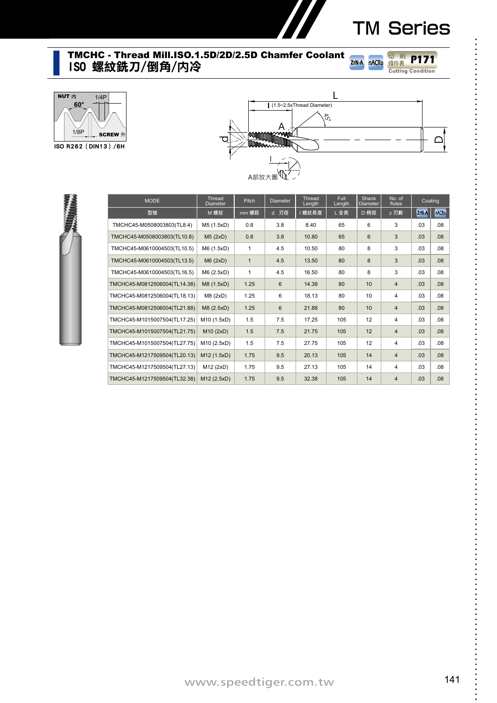**Cutting Condition** 切 削 條件表 **P171** ----------------

........................

#### **ISO 螺紋銑刀/倒角/**内**冷** TMCHC - Thread Mill.ISO.1.5D/2D/2.5D Chamfer Coolant



**ISO R262(DIN13)/6H**



**ZrN-A** 

nACRo



| <b>MODE</b>                  | Thread<br><b>Diameter</b> | Pitch        | <b>Diameter</b> | Thread<br>Length | <b>Full</b><br>Length | Shank<br><b>Diameter</b> | No. of<br>flutes | Coating |                  |
|------------------------------|---------------------------|--------------|-----------------|------------------|-----------------------|--------------------------|------------------|---------|------------------|
| 型號                           | M 螺紋                      | mm 螺距        | d 刃徑            | 螺紋長度             | L全長                   | D 柄徑                     | z 刃數             | ZrN-A   | <b>nACRo</b>     |
| TMCHC45-M0508003803(TL8.4)   | M5 (1.5xD)                | 0.8          | 3.8             | 8.40             | 65                    | 6                        | 3                | .03     | .08 <sub>0</sub> |
| TMCHC45-M0508003803(TL10.8)  | M5(2xD)                   | 0.8          | 3.8             | 10.80            | 65                    | 6                        | 3                | .03     | .08              |
| TMCHC45-M0610004503(TL10.5)  | M6 (1.5xD)                | $\mathbf{1}$ | 4.5             | 10.50            | 80                    | 8                        | 3                | .03     | .08 <sub>0</sub> |
| TMCHC45-M0610004503(TL13.5)  | M6(2xD)                   | $\mathbf{1}$ | 4.5             | 13.50            | 80                    | 8                        | 3                | .03     | .08 <sub>0</sub> |
| TMCHC45-M0610004503(TL16.5)  | M6 (2.5xD)                | 1            | 4.5             | 16.50            | 80                    | 8                        | 3                | .03     | .08              |
| TMCHC45-M0812506004(TL14.38) | M8 (1.5xD)                | 1.25         | 6               | 14.38            | 80                    | 10                       | $\overline{4}$   | .03     | .08              |
| TMCHC45-M0812506004(TL18.13) | M8(2xD)                   | 1.25         | 6               | 18.13            | 80                    | 10                       | $\overline{4}$   | .03     | .08 <sub>0</sub> |
| TMCHC45-M0812506004(TL21.88) | M8 (2.5xD)                | 1.25         | 6               | 21.88            | 80                    | 10                       | $\overline{4}$   | .03     | .08 <sub>0</sub> |
| TMCHC45-M1015007504(TL17.25) | M10 (1.5xD)               | 1.5          | 7.5             | 17.25            | 105                   | 12                       | $\overline{4}$   | .03     | .08              |
| TMCHC45-M1015007504(TL21.75) | M10 (2xD)                 | 1.5          | 7.5             | 21.75            | 105                   | 12                       | $\overline{4}$   | .03     | .08 <sub>0</sub> |
| TMCHC45-M1015007504(TL27.75) | M10 (2.5xD)               | 1.5          | 7.5             | 27.75            | 105                   | 12                       | $\overline{4}$   | .03     | .08              |
| TMCHC45-M1217509504(TL20.13) | M12 (1.5xD)               | 1.75         | 9.5             | 20.13            | 105                   | 14                       | $\overline{4}$   | .03     | .08              |
| TMCHC45-M1217509504(TL27.13) | M12 (2xD)                 | 1.75         | 9.5             | 27.13            | 105                   | 14                       | 4                | .03     | .08 <sub>0</sub> |
| TMCHC45-M1217509504(TL32.38) | M12 (2.5xD)               | 1.75         | 9.5             | 32.38            | 105                   | 14                       | $\overline{4}$   | .03     | .08              |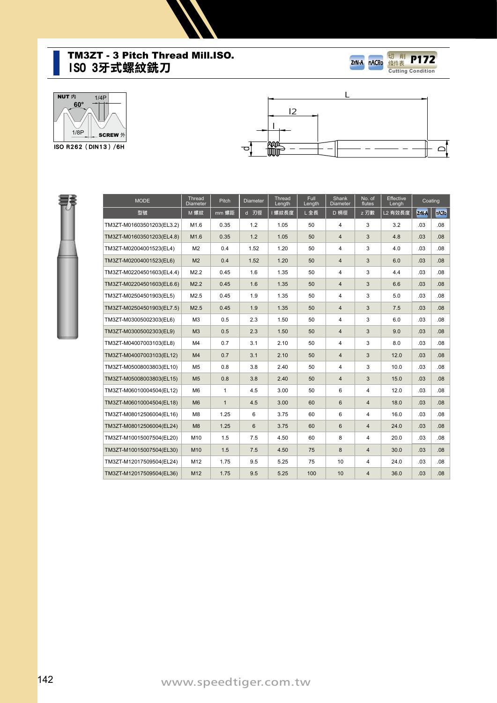#### **ISO 3牙式螺紋銑刀** TM3ZT - 3 Pitch Thread Mill.ISO.









| <b>MODE</b>               | Thread<br><b>Diameter</b> | Pitch        | <b>Diameter</b> | Thread<br>Length | <b>Full</b><br>Length | Shank<br>Diameter | No. of<br>flutes | <b>Effective</b><br>Lengh | Coating |                  |
|---------------------------|---------------------------|--------------|-----------------|------------------|-----------------------|-------------------|------------------|---------------------------|---------|------------------|
| 型號                        | M 螺紋                      | mm 螺距        | d 刃徑            | 螺紋長度             | L全長                   | D 柄徑              | z 刃數             | L2 有效長度                   | ZrN-A   | <b>nACRo</b>     |
| TM3ZT-M01603501203(EL3.2) | M1.6                      | 0.35         | 1.2             | 1.05             | 50                    | 4                 | 3                | 3.2                       | .03     | .08 <sub>0</sub> |
| TM3ZT-M01603501203(EL4.8) | M <sub>1.6</sub>          | 0.35         | 1.2             | 1.05             | 50                    | $\overline{4}$    | 3                | 4.8                       | .03     | .08 <sub>0</sub> |
| TM3ZT-M02004001523(EL4)   | M <sub>2</sub>            | 0.4          | 1.52            | 1.20             | 50                    | 4                 | 3                | 4.0                       | .03     | .08              |
| TM3ZT-M02004001523(EL6)   | M <sub>2</sub>            | 0.4          | 1.52            | 1.20             | 50                    | $\overline{4}$    | 3                | 6.0                       | .03     | .08              |
| TM3ZT-M02204501603(EL4.4) | M2.2                      | 0.45         | 1.6             | 1.35             | 50                    | 4                 | 3                | 4.4                       | .03     | .08              |
| TM3ZT-M02204501603(EL6.6) | M2.2                      | 0.45         | 1.6             | 1.35             | 50                    | $\overline{4}$    | 3                | 6.6                       | .03     | .08              |
| TM3ZT-M02504501903(EL5)   | M2.5                      | 0.45         | 1.9             | 1.35             | 50                    | 4                 | 3                | 5.0                       | .03     | .08              |
| TM3ZT-M02504501903(EL7.5) | M2.5                      | 0.45         | 1.9             | 1.35             | 50                    | $\overline{4}$    | 3                | 7.5                       | .03     | .08              |
| TM3ZT-M03005002303(EL6)   | M <sub>3</sub>            | 0.5          | 2.3             | 1.50             | 50                    | 4                 | 3                | 6.0                       | .03     | .08              |
| TM3ZT-M03005002303(EL9)   | M <sub>3</sub>            | 0.5          | 2.3             | 1.50             | 50                    | $\overline{4}$    | 3                | 9.0                       | .03     | .08 <sub>0</sub> |
| TM3ZT-M04007003103(EL8)   | M <sub>4</sub>            | 0.7          | 3.1             | 2.10             | 50                    | 4                 | 3                | 8.0                       | .03     | .08              |
| TM3ZT-M04007003103(EL12)  | M <sub>4</sub>            | 0.7          | 3.1             | 2.10             | 50                    | $\overline{4}$    | 3                | 12.0                      | .03     | .08              |
| TM3ZT-M05008003803(EL10)  | M <sub>5</sub>            | 0.8          | 3.8             | 2.40             | 50                    | 4                 | 3                | 10.0                      | .03     | .08              |
| TM3ZT-M05008003803(EL15)  | M <sub>5</sub>            | 0.8          | 3.8             | 2.40             | 50                    | $\overline{4}$    | 3                | 15.0                      | .03     | .08              |
| TM3ZT-M06010004504(EL12)  | M <sub>6</sub>            | $\mathbf{1}$ | 4.5             | 3.00             | 50                    | 6                 | 4                | 12.0                      | .03     | .08              |
| TM3ZT-M06010004504(EL18)  | M <sub>6</sub>            | $\mathbf{1}$ | 4.5             | 3.00             | 60                    | 6                 | $\overline{4}$   | 18.0                      | .03     | .08              |
| TM3ZT-M08012506004(EL16)  | M <sub>8</sub>            | 1.25         | 6               | 3.75             | 60                    | 6                 | 4                | 16.0                      | .03     | .08 <sub>0</sub> |
| TM3ZT-M08012506004(EL24)  | M8                        | 1.25         | 6               | 3.75             | 60                    | 6                 | $\overline{4}$   | 24.0                      | .03     | .08 <sub>0</sub> |
| TM3ZT-M10015007504(EL20)  | M10                       | 1.5          | 7.5             | 4.50             | 60                    | 8                 | 4                | 20.0                      | .03     | .08 <sub>0</sub> |
| TM3ZT-M10015007504(EL30)  | M <sub>10</sub>           | 1.5          | 7.5             | 4.50             | 75                    | 8                 | $\overline{4}$   | 30.0                      | .03     | .08              |
| TM3ZT-M12017509504(EL24)  | M12                       | 1.75         | 9.5             | 5.25             | 75                    | 10                | 4                | 24.0                      | .03     | .08 <sub>0</sub> |
| TM3ZT-M12017509504(EL36)  | M <sub>12</sub>           | 1.75         | 9.5             | 5.25             | 100                   | 10                | $\overline{4}$   | 36.0                      | .03     | .08 <sub>0</sub> |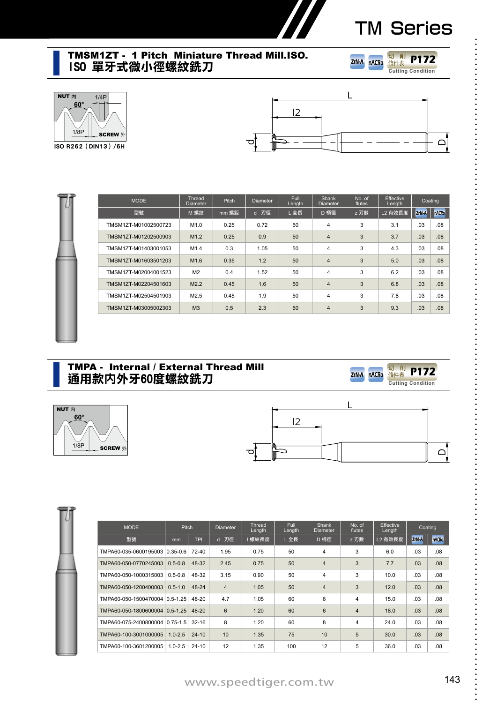$\ddot{\cdot}$ 

#### **ISO 單牙式微小徑螺紋銑刀** TMSM1ZT - 1 Pitch Miniature Thread Mill.ISO.







**ISO R262(DIN13)/6H**



| <b>MODE</b>          | <b>Thread</b><br><b>Pitch</b><br><b>Diameter</b> |       | <b>Diameter</b> | Full<br>Length | <b>Shank</b><br><b>Diameter</b> | No. of<br>flutes | <b>Effective</b><br>Length |       | Coating      |
|----------------------|--------------------------------------------------|-------|-----------------|----------------|---------------------------------|------------------|----------------------------|-------|--------------|
| 型號                   | M 螺紋                                             | mm 螺距 | d 刃徑            | L全長            | D 柄徑                            | z 刃數             | L2 有效長度                    | ZrN-A | <b>nACRo</b> |
| TMSM1ZT-M01002500723 | M1.0                                             | 0.25  | 0.72            | 50             | 4                               | 3                | 3.1                        | .03   | .08          |
| TMSM1ZT-M01202500903 | M1.2                                             | 0.25  | 0.9             | 50             | 4                               | 3                | 3.7                        | .03   | .08          |
| TMSM1ZT-M01403001053 | M <sub>1.4</sub>                                 | 0.3   | 1.05            | 50             | 4                               | 3                | 4.3                        | .03   | .08          |
| TMSM1ZT-M01603501203 | M <sub>1.6</sub>                                 | 0.35  | 1.2             | 50             | $\overline{4}$                  | 3                | 5.0                        | .03   | .08          |
| TMSM1ZT-M02004001523 | M <sub>2</sub>                                   | 0.4   | 1.52            | 50             | $\overline{4}$                  | 3                | 6.2                        | .03   | .08          |
| TMSM1ZT-M02204501603 | M2.2                                             | 0.45  | 1.6             | 50             | $\overline{4}$                  | 3                | 6.8                        | .03   | .08          |
| TMSM1ZT-M02504501903 | M2.5                                             | 0.45  | 1.9             | 50             | 4                               | 3                | 7.8                        | .03   | .08          |
| TMSM1ZT-M03005002303 | M <sub>3</sub>                                   | 0.5   | 2.3             | 50             | $\overline{4}$                  | 3                | 9.3                        | .03   | .08          |

#### **通用款**内**外牙60度螺紋銑刀** TMPA - Internal / External Thread Mill





**ZrN-A** 

nACRo

**Cutting Condition** 切 削 條件表 **P172**

L.

| <b>MODE</b>                    | <b>Pitch</b> |            | <b>Diameter</b>   | Thread<br>Length | Full<br>Length | Shank<br><b>Diameter</b> | No. of<br>flutes        | <b>Effective</b><br>Length |                  | Coating      |
|--------------------------------|--------------|------------|-------------------|------------------|----------------|--------------------------|-------------------------|----------------------------|------------------|--------------|
| 型號                             | mm           | <b>TPI</b> | 刃徑<br>$\mathbf d$ | 螺紋長度             | L全長            | D 柄徑                     | z 刃數                    | L2 有效長度                    | ZrN <sub>A</sub> | <b>nACRo</b> |
| TMPA60-035-0600195003 0.35-0.6 |              | $72-40$    | 1.95              | 0.75             | 50             | $\overline{4}$           | 3                       | 6.0                        | .03              | .08          |
| TMPA60-050-0770245003          | $0.5 - 0.8$  | 48-32      | 2.45              | 0.75             | 50             | $\overline{4}$           | 3                       | 7.7                        | .03              | .08          |
| TMPA60-050-1000315003          | $0.5 - 0.8$  | 48-32      | 3.15              | 0.90             | 50             | $\overline{4}$           | 3                       | 10.0                       | .03              | .08          |
| TMPA60-050-1200400003          | $0.5 - 1.0$  | 48-24      | $\overline{4}$    | 1.05             | 50             | $\overline{4}$           | 3                       | 12.0                       | .03              | .08          |
| TMPA60-050-1500470004 0.5-1.25 |              | 48-20      | 4.7               | 1.05             | 60             | 6                        | 4                       | 15.0                       | .03              | .08          |
| TMPA60-050-1800600004 0.5-1.25 |              | $48 - 20$  | 6                 | 1.20             | 60             | 6                        | $\overline{4}$          | 18.0                       | .03              | .08          |
| TMPA60-075-2400800004 0.75-1.5 |              | $32 - 16$  | 8                 | 1.20             | 60             | 8                        | $\overline{\mathbf{4}}$ | 24.0                       | .03              | .08          |
| TMPA60-100-3001000005          | $1.0 - 2.5$  | $24 - 10$  | 10                | 1.35             | 75             | 10                       | 5                       | 30.0                       | .03              | .08          |
| TMPA60-100-3601200005          | $1.0 - 2.5$  | $24 - 10$  | 12                | 1.35             | 100            | 12                       | 5                       | 36.0                       | .03              | .08          |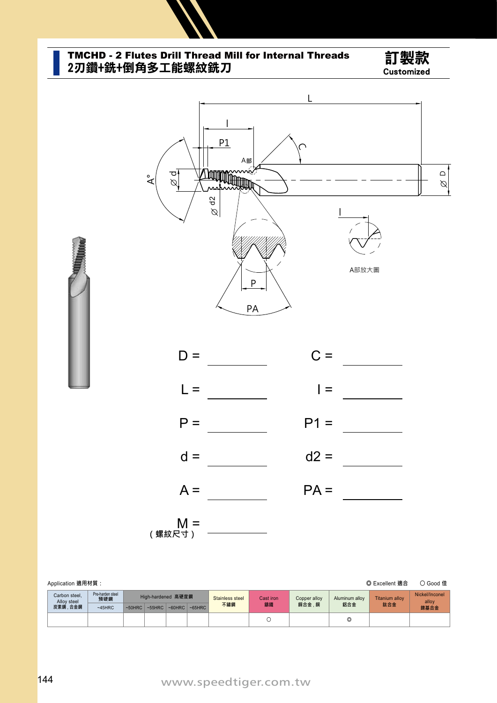

# TMCHD - 2 Flutes Drill Thread Mill for Internal Threads 訂製款<br>2刃鑽+銑+倒角多工能螺紋銑刀





| Application 適用材質:<br>◎ Excellent 適合 |                              |                         |           |                    |           |           |                        |                 |                       |                       |                              |                         |  |
|-------------------------------------|------------------------------|-------------------------|-----------|--------------------|-----------|-----------|------------------------|-----------------|-----------------------|-----------------------|------------------------------|-------------------------|--|
|                                     | Carbon steel.<br>Allov steel | Pre-harden steel<br>預硬鋼 |           | High-hardened 高硬度鋼 |           |           | Stainless steel<br>不鏽鋼 | Cast iron<br>鑄鐵 | Copper alloy<br>銅合金,銅 | Aluminum alloy<br>鋁合金 | <b>Titanium alloy</b><br>鈦合金 | Nickel/Inconel<br>allov |  |
|                                     | 炭素鋼、合金鋼                      | $~145$ HRC              | $~50$ HRC | $~55$ HRC          | $~60$ HRC | $~65$ HRC |                        |                 |                       |                       |                              | 鎳基合金                    |  |
|                                     |                              |                         |           |                    |           |           |                        |                 |                       | O                     |                              |                         |  |